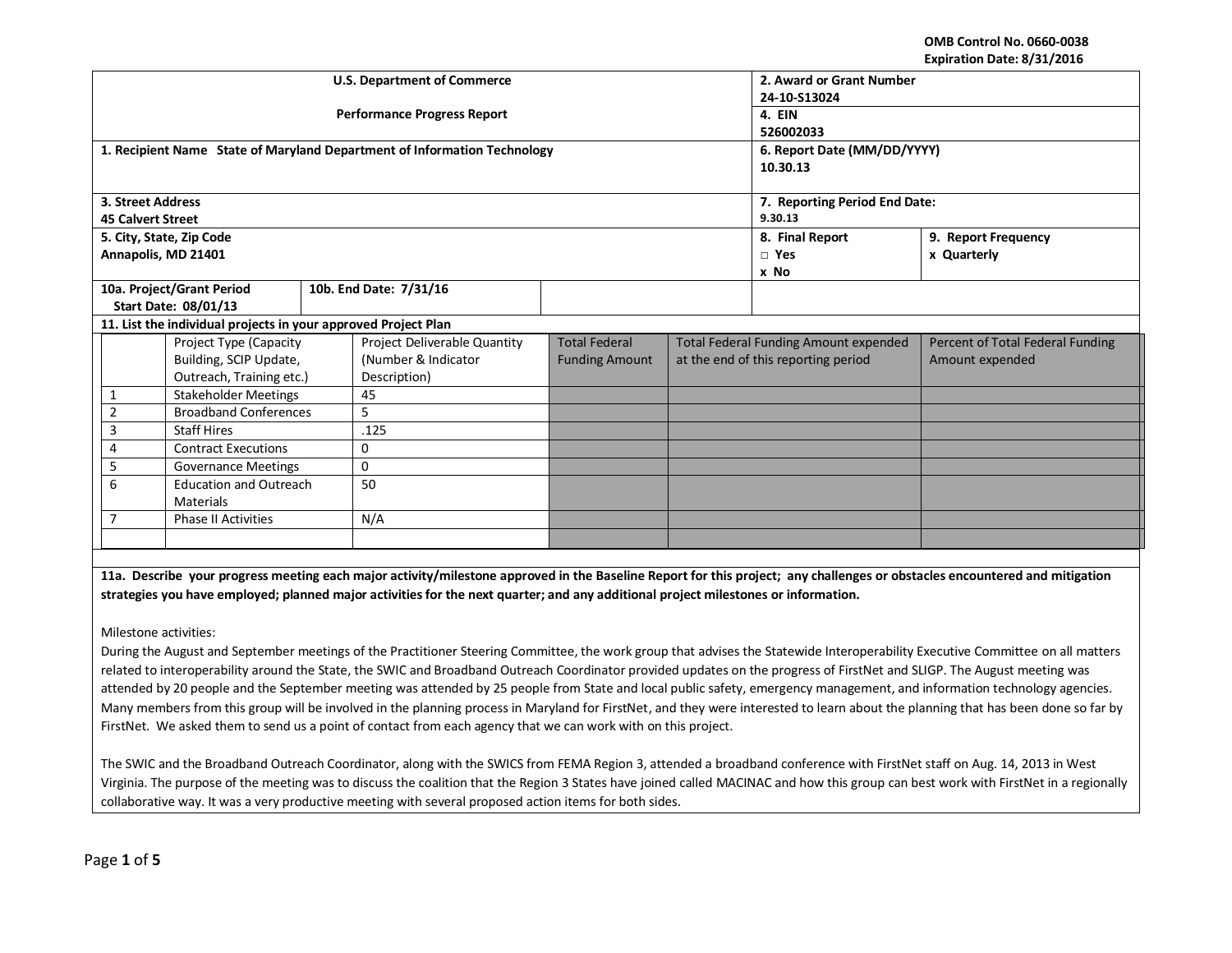**OMB Control No. 0660-0038 Expiration Date: 8/31/2016**

|                                                                |                               |  | <b>U.S. Department of Commerce</b>                                       | 2. Award or Grant Number      |                                     |                                                                                  |                                                                                                                                                                            |  |  |  |
|----------------------------------------------------------------|-------------------------------|--|--------------------------------------------------------------------------|-------------------------------|-------------------------------------|----------------------------------------------------------------------------------|----------------------------------------------------------------------------------------------------------------------------------------------------------------------------|--|--|--|
|                                                                |                               |  |                                                                          | 24-10-S13024                  |                                     |                                                                                  |                                                                                                                                                                            |  |  |  |
|                                                                |                               |  | <b>Performance Progress Report</b>                                       |                               |                                     | 4. EIN                                                                           |                                                                                                                                                                            |  |  |  |
|                                                                |                               |  |                                                                          |                               |                                     | 526002033                                                                        |                                                                                                                                                                            |  |  |  |
|                                                                |                               |  | 1. Recipient Name State of Maryland Department of Information Technology |                               |                                     | 6. Report Date (MM/DD/YYYY)                                                      |                                                                                                                                                                            |  |  |  |
|                                                                |                               |  |                                                                          |                               |                                     | 10.30.13                                                                         |                                                                                                                                                                            |  |  |  |
|                                                                |                               |  |                                                                          |                               |                                     |                                                                                  |                                                                                                                                                                            |  |  |  |
| 3. Street Address                                              |                               |  |                                                                          | 7. Reporting Period End Date: |                                     |                                                                                  |                                                                                                                                                                            |  |  |  |
| <b>45 Calvert Street</b>                                       |                               |  |                                                                          | 9.30.13                       |                                     |                                                                                  |                                                                                                                                                                            |  |  |  |
|                                                                | 5. City, State, Zip Code      |  |                                                                          |                               |                                     | 8. Final Report                                                                  | 9. Report Frequency                                                                                                                                                        |  |  |  |
|                                                                | Annapolis, MD 21401           |  |                                                                          |                               |                                     | $\Box$ Yes                                                                       | x Quarterly                                                                                                                                                                |  |  |  |
|                                                                |                               |  |                                                                          |                               |                                     | x No                                                                             |                                                                                                                                                                            |  |  |  |
|                                                                | 10a. Project/Grant Period     |  | 10b. End Date: 7/31/16                                                   |                               |                                     |                                                                                  |                                                                                                                                                                            |  |  |  |
|                                                                | <b>Start Date: 08/01/13</b>   |  |                                                                          |                               |                                     |                                                                                  |                                                                                                                                                                            |  |  |  |
| 11. List the individual projects in your approved Project Plan |                               |  |                                                                          |                               |                                     |                                                                                  |                                                                                                                                                                            |  |  |  |
| Project Type (Capacity                                         |                               |  | Project Deliverable Quantity                                             | <b>Total Federal</b>          |                                     | <b>Total Federal Funding Amount expended</b><br>Percent of Total Federal Funding |                                                                                                                                                                            |  |  |  |
|                                                                | Building, SCIP Update,        |  | (Number & Indicator                                                      | <b>Funding Amount</b>         | at the end of this reporting period |                                                                                  | Amount expended                                                                                                                                                            |  |  |  |
|                                                                | Outreach, Training etc.)      |  | Description)                                                             |                               |                                     |                                                                                  |                                                                                                                                                                            |  |  |  |
| 1                                                              | <b>Stakeholder Meetings</b>   |  | 45                                                                       |                               |                                     |                                                                                  |                                                                                                                                                                            |  |  |  |
| $\overline{2}$                                                 | <b>Broadband Conferences</b>  |  | 5                                                                        |                               |                                     |                                                                                  |                                                                                                                                                                            |  |  |  |
| 3                                                              | <b>Staff Hires</b>            |  | .125                                                                     |                               |                                     |                                                                                  |                                                                                                                                                                            |  |  |  |
| 4                                                              | <b>Contract Executions</b>    |  | $\mathbf 0$                                                              |                               |                                     |                                                                                  |                                                                                                                                                                            |  |  |  |
| 5                                                              | <b>Governance Meetings</b>    |  | $\mathbf 0$                                                              |                               |                                     |                                                                                  |                                                                                                                                                                            |  |  |  |
| 6                                                              | <b>Education and Outreach</b> |  | 50                                                                       |                               |                                     |                                                                                  |                                                                                                                                                                            |  |  |  |
|                                                                | <b>Materials</b>              |  |                                                                          |                               |                                     |                                                                                  |                                                                                                                                                                            |  |  |  |
|                                                                | <b>Phase II Activities</b>    |  | N/A                                                                      |                               |                                     |                                                                                  |                                                                                                                                                                            |  |  |  |
|                                                                |                               |  |                                                                          |                               |                                     |                                                                                  |                                                                                                                                                                            |  |  |  |
|                                                                |                               |  |                                                                          |                               |                                     |                                                                                  |                                                                                                                                                                            |  |  |  |
|                                                                |                               |  |                                                                          |                               |                                     |                                                                                  | 11a. Describe your progress meeting each major activity/milestone approved in the Baseline Report for this project; any challenges or obstacles encountered and mitigation |  |  |  |
|                                                                |                               |  |                                                                          |                               |                                     |                                                                                  |                                                                                                                                                                            |  |  |  |

Milestone activities:

During the August and September meetings of the Practitioner Steering Committee, the work group that advises the Statewide Interoperability Executive Committee on all matters related to interoperability around the State, the SWIC and Broadband Outreach Coordinator provided updates on the progress of FirstNet and SLIGP. The August meeting was attended by 20 people and the September meeting was attended by 25 people from State and local public safety, emergency management, and information technology agencies. Many members from this group will be involved in the planning process in Maryland for FirstNet, and they were interested to learn about the planning that has been done so far by FirstNet. We asked them to send us a point of contact from each agency that we can work with on this project.

**strategies you have employed; planned major activities for the next quarter; and any additional project milestones or information.**

The SWIC and the Broadband Outreach Coordinator, along with the SWICS from FEMA Region 3, attended a broadband conference with FirstNet staff on Aug. 14, 2013 in West Virginia. The purpose of the meeting was to discuss the coalition that the Region 3 States have joined called MACINAC and how this group can best work with FirstNet in a regionally collaborative way. It was a very productive meeting with several proposed action items for both sides.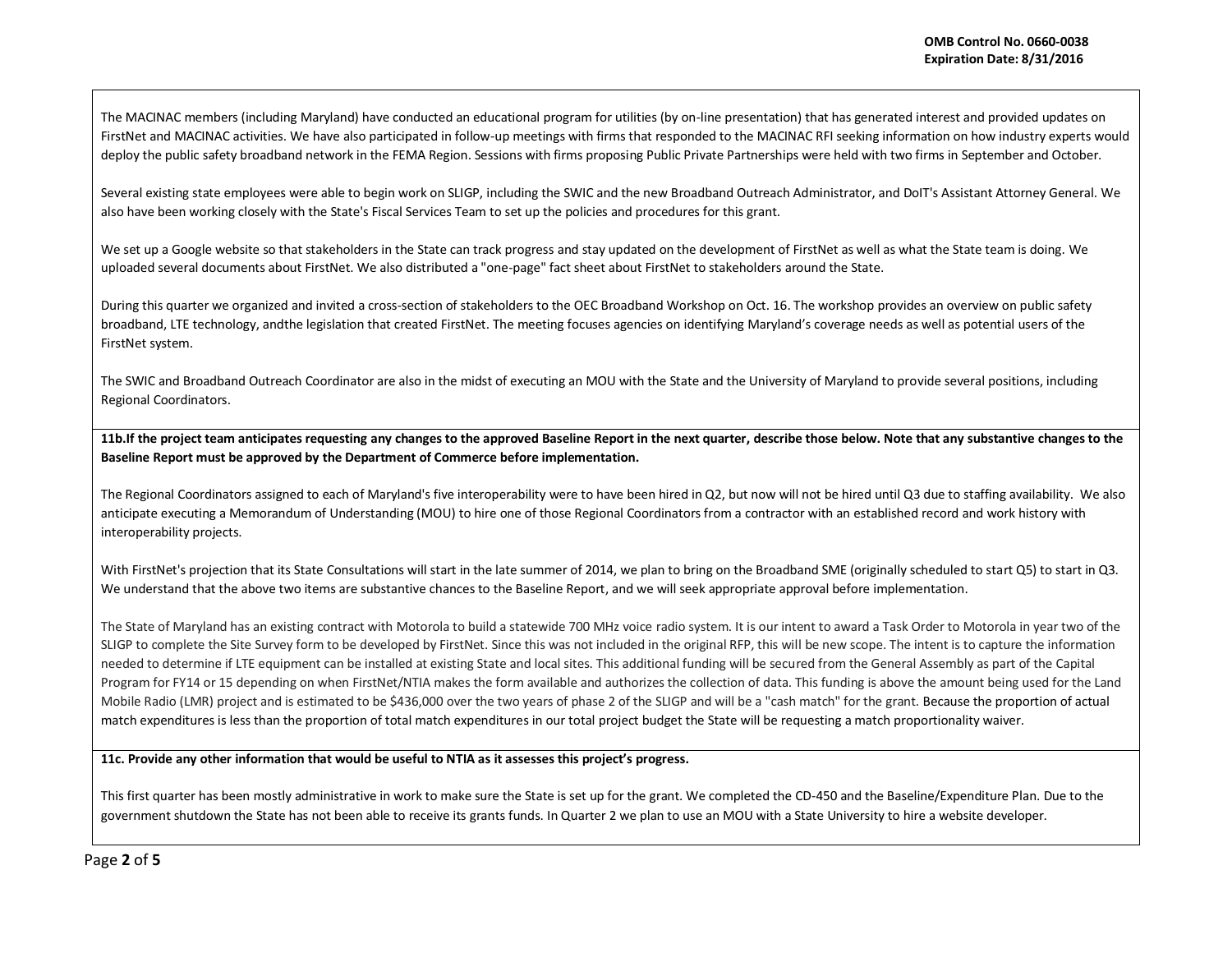The MACINAC members (including Maryland) have conducted an educational program for utilities (by on-line presentation) that has generated interest and provided updates on FirstNet and MACINAC activities. We have also participated in follow-up meetings with firms that responded to the MACINAC RFI seeking information on how industry experts would deploy the public safety broadband network in the FEMA Region. Sessions with firms proposing Public Private Partnerships were held with two firms in September and October.

Several existing state employees were able to begin work on SLIGP, including the SWIC and the new Broadband Outreach Administrator, and DoIT's Assistant Attorney General. We also have been working closely with the State's Fiscal Services Team to set up the policies and procedures for this grant.

We set up a Google website so that stakeholders in the State can track progress and stay updated on the development of FirstNet as well as what the State team is doing. We uploaded several documents about FirstNet. We also distributed a "one-page" fact sheet about FirstNet to stakeholders around the State.

During this quarter we organized and invited a cross-section of stakeholders to the OEC Broadband Workshop on Oct. 16. The workshop provides an overview on public safety broadband, LTE technology, andthe legislation that created FirstNet. The meeting focuses agencies on identifying Maryland's coverage needs as well as potential users of the FirstNet system.

The SWIC and Broadband Outreach Coordinator are also in the midst of executing an MOU with the State and the University of Maryland to provide several positions, including Regional Coordinators.

**11b.If the project team anticipates requesting any changes to the approved Baseline Report in the next quarter, describe those below. Note that any substantive changes to the Baseline Report must be approved by the Department of Commerce before implementation.** 

The Regional Coordinators assigned to each of Maryland's five interoperability were to have been hired in Q2, but now will not be hired until Q3 due to staffing availability. We also anticipate executing a Memorandum of Understanding (MOU) to hire one of those Regional Coordinators from a contractor with an established record and work history with interoperability projects.

With FirstNet's projection that its State Consultations will start in the late summer of 2014, we plan to bring on the Broadband SME (originally scheduled to start Q5) to start in Q3. We understand that the above two items are substantive chances to the Baseline Report, and we will seek appropriate approval before implementation.

The State of Maryland has an existing contract with Motorola to build a statewide 700 MHz voice radio system. It is our intent to award a Task Order to Motorola in year two of the SLIGP to complete the Site Survey form to be developed by FirstNet. Since this was not included in the original RFP, this will be new scope. The intent is to capture the information needed to determine if LTE equipment can be installed at existing State and local sites. This additional funding will be secured from the General Assembly as part of the Capital Program for FY14 or 15 depending on when FirstNet/NTIA makes the form available and authorizes the collection of data. This funding is above the amount being used for the Land Mobile Radio (LMR) project and is estimated to be \$436,000 over the two years of phase 2 of the SLIGP and will be a "cash match" for the grant. Because the proportion of actual match expenditures is less than the proportion of total match expenditures in our total project budget the State will be requesting a match proportionality waiver.

**11c. Provide any other information that would be useful to NTIA as it assesses this project's progress.** 

This first quarter has been mostly administrative in work to make sure the State is set up for the grant. We completed the CD-450 and the Baseline/Expenditure Plan. Due to the government shutdown the State has not been able to receive its grants funds. In Quarter 2 we plan to use an MOU with a State University to hire a website developer.

Page **2** of **5**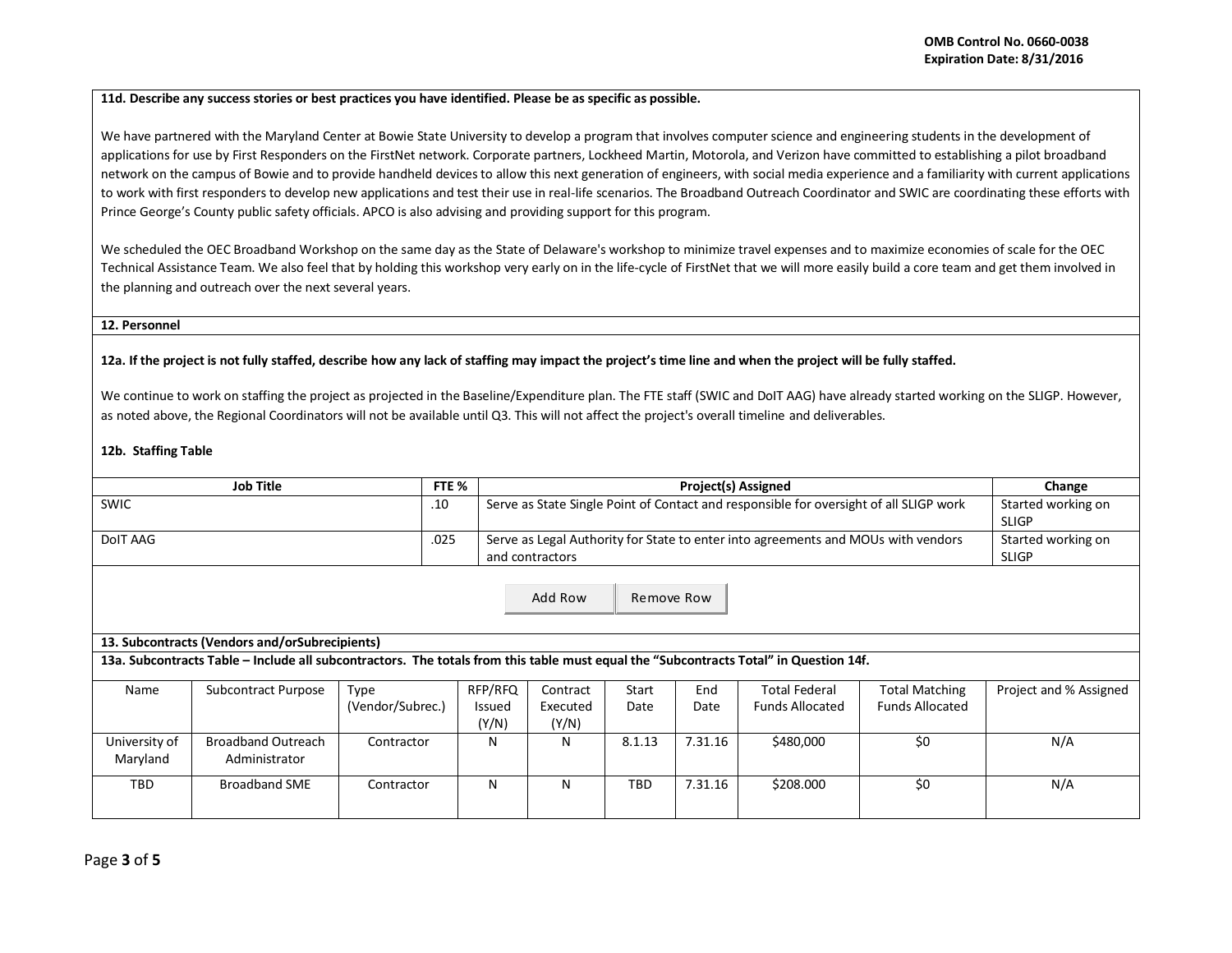### **11d. Describe any success stories or best practices you have identified. Please be as specific as possible.**

We have partnered with the Maryland Center at Bowie State University to develop a program that involves computer science and engineering students in the development of applications for use by First Responders on the FirstNet network. Corporate partners, Lockheed Martin, Motorola, and Verizon have committed to establishing a pilot broadband network on the campus of Bowie and to provide handheld devices to allow this next generation of engineers, with social media experience and a familiarity with current applications to work with first responders to develop new applications and test their use in real-life scenarios. The Broadband Outreach Coordinator and SWIC are coordinating these efforts with Prince George's County public safety officials. APCO is also advising and providing support for this program.

We scheduled the OEC Broadband Workshop on the same day as the State of Delaware's workshop to minimize travel expenses and to maximize economies of scale for the OEC Technical Assistance Team. We also feel that by holding this workshop very early on in the life-cycle of FirstNet that we will more easily build a core team and get them involved in the planning and outreach over the next several years.

#### **12. Personnel**

# **12a. If the project is not fully staffed, describe how any lack of staffing may impact the project's time line and when the project will be fully staffed.**

We continue to work on staffing the project as projected in the Baseline/Expenditure plan. The FTE staff (SWIC and DoIT AAG) have already started working on the SLIGP. However, as noted above, the Regional Coordinators will not be available until Q3. This will not affect the project's overall timeline and deliverables.

#### **12b. Staffing Table**

| <b>Job Title</b>                                                                                                                                                                                                 |                                            | FTE %                    |                                   | <b>Project(s) Assigned</b>                                                                           |                                    |             |                                                |                                                 | Change                             |
|------------------------------------------------------------------------------------------------------------------------------------------------------------------------------------------------------------------|--------------------------------------------|--------------------------|-----------------------------------|------------------------------------------------------------------------------------------------------|------------------------------------|-------------|------------------------------------------------|-------------------------------------------------|------------------------------------|
| <b>SWIC</b>                                                                                                                                                                                                      |                                            |                          |                                   | Serve as State Single Point of Contact and responsible for oversight of all SLIGP work               |                                    |             |                                                |                                                 | Started working on<br><b>SLIGP</b> |
| DolT AAG                                                                                                                                                                                                         |                                            |                          |                                   | Serve as Legal Authority for State to enter into agreements and MOUs with vendors<br>and contractors | Started working on<br><b>SLIGP</b> |             |                                                |                                                 |                                    |
| Add Row<br>Remove Row<br>13. Subcontracts (Vendors and/orSubrecipients)<br>13a. Subcontracts Table – Include all subcontractors. The totals from this table must equal the "Subcontracts Total" in Question 14f. |                                            |                          |                                   |                                                                                                      |                                    |             |                                                |                                                 |                                    |
| Name                                                                                                                                                                                                             | Subcontract Purpose                        | Type<br>(Vendor/Subrec.) | RFP/RFQ<br><b>Issued</b><br>(Y/N) | Contract<br>Executed<br>(Y/N)                                                                        | Start<br>Date                      | End<br>Date | <b>Total Federal</b><br><b>Funds Allocated</b> | <b>Total Matching</b><br><b>Funds Allocated</b> | Project and % Assigned             |
| University of<br>Maryland                                                                                                                                                                                        | <b>Broadband Outreach</b><br>Administrator | Contractor               | N                                 | N                                                                                                    | 8.1.13                             | 7.31.16     | \$480,000                                      | \$0                                             | N/A                                |
| <b>TBD</b>                                                                                                                                                                                                       | <b>Broadband SME</b>                       | Contractor               | N                                 | N                                                                                                    | <b>TBD</b>                         | 7.31.16     | \$208.000                                      | \$0                                             | N/A                                |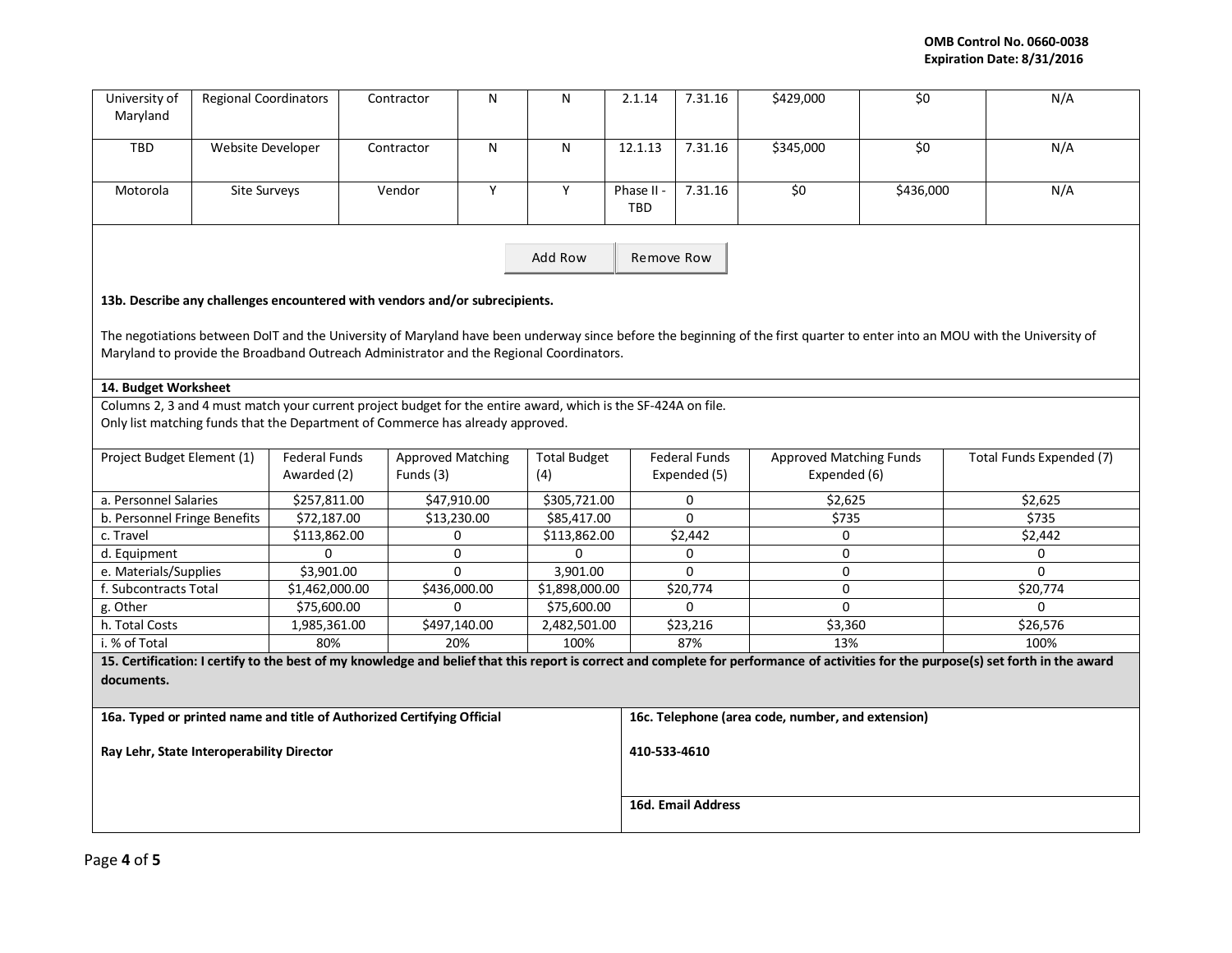| University of<br>Maryland                                                                                                                                                                                                                                              | <b>Regional Coordinators</b> |                                     | Contractor                                                                                                    | N         | N                          | 2.1.14            | 7.31.16                                           | \$429,000                                      | \$0       | N/A                                                                                                                                                                                  |  |  |  |
|------------------------------------------------------------------------------------------------------------------------------------------------------------------------------------------------------------------------------------------------------------------------|------------------------------|-------------------------------------|---------------------------------------------------------------------------------------------------------------|-----------|----------------------------|-------------------|---------------------------------------------------|------------------------------------------------|-----------|--------------------------------------------------------------------------------------------------------------------------------------------------------------------------------------|--|--|--|
| TBD                                                                                                                                                                                                                                                                    | Website Developer            |                                     | Contractor                                                                                                    | ${\sf N}$ | N                          | 12.1.13           | 7.31.16                                           | \$345,000                                      | \$0       | N/A                                                                                                                                                                                  |  |  |  |
| Motorola                                                                                                                                                                                                                                                               | Site Surveys                 |                                     | Vendor                                                                                                        | Υ         | Υ                          | Phase II -<br>TBD | 7.31.16                                           | \$0                                            | \$436,000 | N/A                                                                                                                                                                                  |  |  |  |
| Add Row                                                                                                                                                                                                                                                                |                              |                                     |                                                                                                               |           |                            |                   | Remove Row                                        |                                                |           |                                                                                                                                                                                      |  |  |  |
|                                                                                                                                                                                                                                                                        |                              |                                     | 13b. Describe any challenges encountered with vendors and/or subrecipients.                                   |           |                            |                   |                                                   |                                                |           |                                                                                                                                                                                      |  |  |  |
| The negotiations between DoIT and the University of Maryland have been underway since before the beginning of the first quarter to enter into an MOU with the University of<br>Maryland to provide the Broadband Outreach Administrator and the Regional Coordinators. |                              |                                     |                                                                                                               |           |                            |                   |                                                   |                                                |           |                                                                                                                                                                                      |  |  |  |
| 14. Budget Worksheet                                                                                                                                                                                                                                                   |                              |                                     |                                                                                                               |           |                            |                   |                                                   |                                                |           |                                                                                                                                                                                      |  |  |  |
|                                                                                                                                                                                                                                                                        |                              |                                     | Columns 2, 3 and 4 must match your current project budget for the entire award, which is the SF-424A on file. |           |                            |                   |                                                   |                                                |           |                                                                                                                                                                                      |  |  |  |
| Only list matching funds that the Department of Commerce has already approved.                                                                                                                                                                                         |                              |                                     |                                                                                                               |           |                            |                   |                                                   |                                                |           |                                                                                                                                                                                      |  |  |  |
| Project Budget Element (1)                                                                                                                                                                                                                                             |                              | <b>Federal Funds</b><br>Awarded (2) | <b>Approved Matching</b><br>Funds (3)                                                                         |           | <b>Total Budget</b><br>(4) |                   | <b>Federal Funds</b><br>Expended (5)              | <b>Approved Matching Funds</b><br>Expended (6) |           | Total Funds Expended (7)                                                                                                                                                             |  |  |  |
| a. Personnel Salaries                                                                                                                                                                                                                                                  |                              | \$257,811.00                        | \$47,910.00                                                                                                   |           | \$305,721.00               |                   | 0                                                 | \$2,625                                        |           | \$2,625                                                                                                                                                                              |  |  |  |
| b. Personnel Fringe Benefits                                                                                                                                                                                                                                           |                              | \$72,187.00                         | \$13,230.00                                                                                                   |           | \$85,417.00                |                   | $\Omega$                                          | \$735                                          |           | \$735                                                                                                                                                                                |  |  |  |
| c. Travel                                                                                                                                                                                                                                                              |                              | \$113,862.00                        | $\Omega$                                                                                                      |           | \$113,862.00               |                   | \$2,442                                           | $\Omega$                                       |           | \$2,442                                                                                                                                                                              |  |  |  |
| d. Equipment                                                                                                                                                                                                                                                           |                              | $\Omega$                            | 0                                                                                                             |           | 0                          |                   | 0                                                 | $\pmb{0}$                                      |           | 0                                                                                                                                                                                    |  |  |  |
| e. Materials/Supplies                                                                                                                                                                                                                                                  |                              | $\overline{$}3,901.00$              | 0                                                                                                             |           | 3,901.00                   |                   | 0                                                 | $\pmb{0}$                                      |           | $\Omega$                                                                                                                                                                             |  |  |  |
| f. Subcontracts Total                                                                                                                                                                                                                                                  |                              | \$1,462,000.00                      | \$436,000.00                                                                                                  |           | \$1,898,000.00             |                   | \$20,774                                          | $\mathbf 0$                                    |           | \$20,774                                                                                                                                                                             |  |  |  |
| g. Other                                                                                                                                                                                                                                                               |                              | \$75,600.00                         | $\mathbf{0}$                                                                                                  |           | \$75,600.00                |                   | 0                                                 | $\mathbf 0$                                    |           | 0                                                                                                                                                                                    |  |  |  |
| h. Total Costs                                                                                                                                                                                                                                                         |                              | 1,985,361.00                        | \$497,140.00                                                                                                  |           | 2,482,501.00               |                   | \$23,216                                          | \$3,360                                        |           | \$26,576                                                                                                                                                                             |  |  |  |
| i. % of Total                                                                                                                                                                                                                                                          |                              | 80%                                 | 20%                                                                                                           |           | 100%                       |                   | 87%                                               | 13%                                            |           | 100%                                                                                                                                                                                 |  |  |  |
|                                                                                                                                                                                                                                                                        |                              |                                     |                                                                                                               |           |                            |                   |                                                   |                                                |           | 15. Certification: I certify to the best of my knowledge and belief that this report is correct and complete for performance of activities for the purpose(s) set forth in the award |  |  |  |
| documents.                                                                                                                                                                                                                                                             |                              |                                     |                                                                                                               |           |                            |                   |                                                   |                                                |           |                                                                                                                                                                                      |  |  |  |
| 16a. Typed or printed name and title of Authorized Certifying Official                                                                                                                                                                                                 |                              |                                     |                                                                                                               |           |                            |                   | 16c. Telephone (area code, number, and extension) |                                                |           |                                                                                                                                                                                      |  |  |  |
| Ray Lehr, State Interoperability Director                                                                                                                                                                                                                              |                              |                                     |                                                                                                               |           |                            |                   | 410-533-4610                                      |                                                |           |                                                                                                                                                                                      |  |  |  |
|                                                                                                                                                                                                                                                                        |                              |                                     |                                                                                                               |           |                            |                   | <b>16d. Email Address</b>                         |                                                |           |                                                                                                                                                                                      |  |  |  |